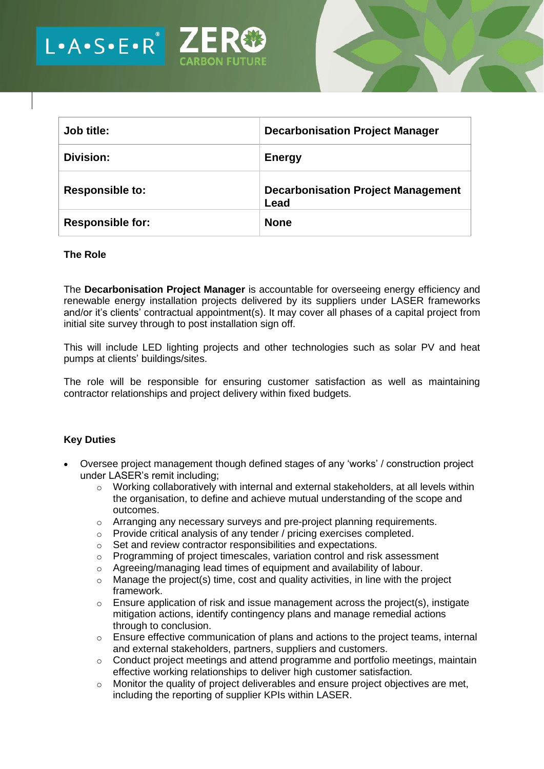

| Job title:              | <b>Decarbonisation Project Manager</b>            |
|-------------------------|---------------------------------------------------|
| <b>Division:</b>        | <b>Energy</b>                                     |
| <b>Responsible to:</b>  | <b>Decarbonisation Project Management</b><br>Lead |
| <b>Responsible for:</b> | <b>None</b>                                       |

### **The Role**

The **Decarbonisation Project Manager** is accountable for overseeing energy efficiency and renewable energy installation projects delivered by its suppliers under LASER frameworks and/or it's clients' contractual appointment(s). It may cover all phases of a capital project from initial site survey through to post installation sign off.

This will include LED lighting projects and other technologies such as solar PV and heat pumps at clients' buildings/sites.

The role will be responsible for ensuring customer satisfaction as well as maintaining contractor relationships and project delivery within fixed budgets.

### **Key Duties**

- Oversee project management though defined stages of any 'works' / construction project under LASER's remit including;
	- o Working collaboratively with internal and external stakeholders, at all levels within the organisation, to define and achieve mutual understanding of the scope and outcomes.
	- $\circ$  Arranging any necessary surveys and pre-project planning requirements.
	- o Provide critical analysis of any tender / pricing exercises completed.
	- o Set and review contractor responsibilities and expectations.
	- $\circ$  Programming of project timescales, variation control and risk assessment
	- o Agreeing/managing lead times of equipment and availability of labour.
	- $\circ$  Manage the project(s) time, cost and quality activities, in line with the project framework.
	- $\circ$  Ensure application of risk and issue management across the project(s), instigate mitigation actions, identify contingency plans and manage remedial actions through to conclusion.
	- $\circ$  Ensure effective communication of plans and actions to the project teams, internal and external stakeholders, partners, suppliers and customers.
	- o Conduct project meetings and attend programme and portfolio meetings, maintain effective working relationships to deliver high customer satisfaction.
	- o Monitor the quality of project deliverables and ensure project objectives are met, including the reporting of supplier KPIs within LASER.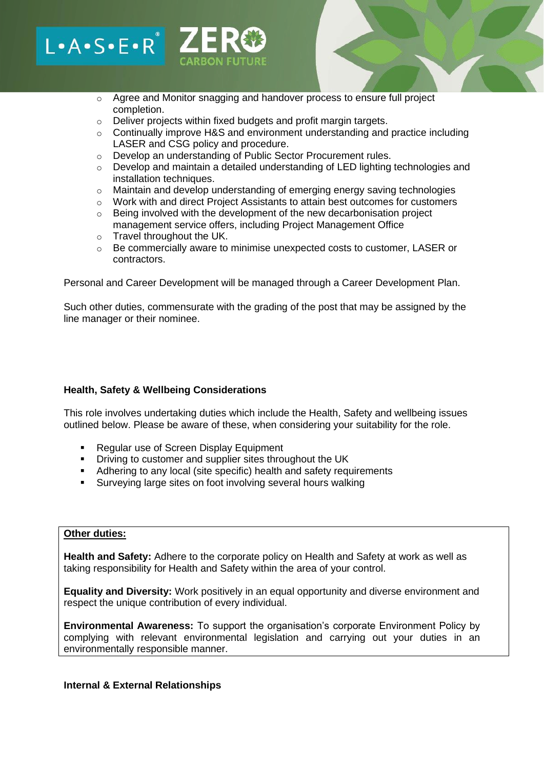# $L A \cdot S \cdot E \cdot R^*$

- o Agree and Monitor snagging and handover process to ensure full project completion.
- o Deliver projects within fixed budgets and profit margin targets.
- $\circ$  Continually improve H&S and environment understanding and practice including LASER and CSG policy and procedure.
- o Develop an understanding of Public Sector Procurement rules.
- $\circ$  Develop and maintain a detailed understanding of LED lighting technologies and installation techniques.
- o Maintain and develop understanding of emerging energy saving technologies
- $\circ$  Work with and direct Project Assistants to attain best outcomes for customers
- o Being involved with the development of the new decarbonisation project management service offers, including Project Management Office
- o Travel throughout the UK.
- o Be commercially aware to minimise unexpected costs to customer, LASER or contractors.

Personal and Career Development will be managed through a Career Development Plan.

Such other duties, commensurate with the grading of the post that may be assigned by the line manager or their nominee.

### **Health, Safety & Wellbeing Considerations**

This role involves undertaking duties which include the Health, Safety and wellbeing issues outlined below. Please be aware of these, when considering your suitability for the role.

- **Regular use of Screen Display Equipment**
- **•** Driving to customer and supplier sites throughout the UK
- Adhering to any local (site specific) health and safety requirements
- Surveying large sites on foot involving several hours walking

### **Other duties:**

**Health and Safety:** Adhere to the corporate policy on Health and Safety at work as well as taking responsibility for Health and Safety within the area of your control.

**Equality and Diversity:** Work positively in an equal opportunity and diverse environment and respect the unique contribution of every individual.

**Environmental Awareness:** To support the organisation's corporate Environment Policy by complying with relevant environmental legislation and carrying out your duties in an environmentally responsible manner.

#### **Internal & External Relationships**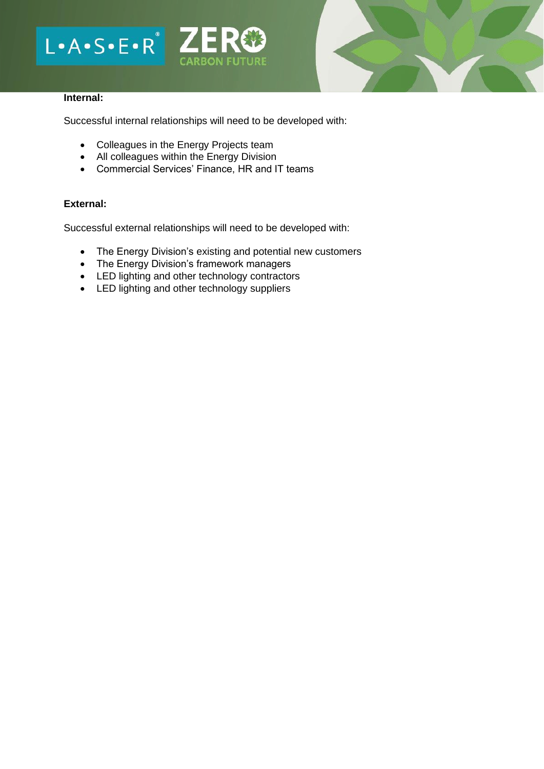# $L - A - S - E - R$ **CARBON FUTURE**



### **Internal:**

Successful internal relationships will need to be developed with:

- Colleagues in the Energy Projects team
- All colleagues within the Energy Division
- Commercial Services' Finance, HR and IT teams

# **External:**

Successful external relationships will need to be developed with:

- The Energy Division's existing and potential new customers
- The Energy Division's framework managers
- LED lighting and other technology contractors
- LED lighting and other technology suppliers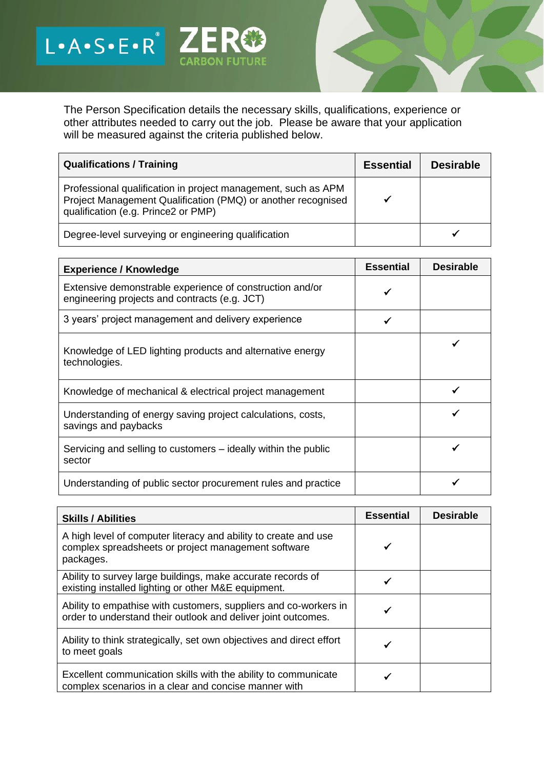The Person Specification details the necessary skills, qualifications, experience or other attributes needed to carry out the job. Please be aware that your application will be measured against the criteria published below.

**CARBON FUTURE** 

L.A.S.E.R<sup>'</sup> ZERC

| <b>Qualifications / Training</b>                                                                                                                                     | <b>Essential</b> | <b>Desirable</b> |
|----------------------------------------------------------------------------------------------------------------------------------------------------------------------|------------------|------------------|
| Professional qualification in project management, such as APM<br>Project Management Qualification (PMQ) or another recognised<br>qualification (e.g. Prince2 or PMP) |                  |                  |
| Degree-level surveying or engineering qualification                                                                                                                  |                  |                  |

| <b>Experience / Knowledge</b>                                                                             | <b>Essential</b> | <b>Desirable</b> |
|-----------------------------------------------------------------------------------------------------------|------------------|------------------|
| Extensive demonstrable experience of construction and/or<br>engineering projects and contracts (e.g. JCT) |                  |                  |
| 3 years' project management and delivery experience                                                       | ✔                |                  |
| Knowledge of LED lighting products and alternative energy<br>technologies.                                |                  |                  |
| Knowledge of mechanical & electrical project management                                                   |                  |                  |
| Understanding of energy saving project calculations, costs,<br>savings and paybacks                       |                  |                  |
| Servicing and selling to customers – ideally within the public<br>sector                                  |                  |                  |
| Understanding of public sector procurement rules and practice                                             |                  |                  |

| <b>Skills / Abilities</b>                                                                                                           | <b>Essential</b> | <b>Desirable</b> |
|-------------------------------------------------------------------------------------------------------------------------------------|------------------|------------------|
| A high level of computer literacy and ability to create and use<br>complex spreadsheets or project management software<br>packages. |                  |                  |
| Ability to survey large buildings, make accurate records of<br>existing installed lighting or other M&E equipment.                  |                  |                  |
| Ability to empathise with customers, suppliers and co-workers in<br>order to understand their outlook and deliver joint outcomes.   |                  |                  |
| Ability to think strategically, set own objectives and direct effort<br>to meet goals                                               |                  |                  |
| Excellent communication skills with the ability to communicate<br>complex scenarios in a clear and concise manner with              |                  |                  |